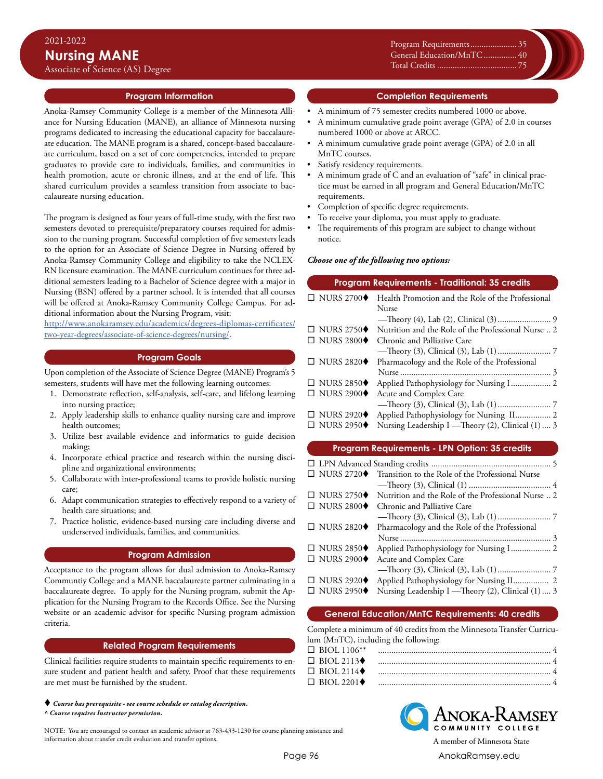**Program Information**

Anoka-Ramsey Community College is a member of the Minnesota Alliance for Nursing Education (MANE), an alliance of Minnesota nursing programs dedicated to increasing the educational capacity for baccalaureate education. The MANE program is a shared, concept-based baccalaureate curriculum, based on a set of core competencies, intended to prepare graduates to provide care to individuals, families, and communities in health promotion, acute or chronic illness, and at the end of life. This shared curriculum provides a seamless transition from associate to baccalaureate nursing education.

The program is designed as four years of full-time study, with the first two semesters devoted to prerequisite/preparatory courses required for admission to the nursing program. Successful completion of five semesters leads to the option for an Associate of Science Degree in Nursing offered by Anoka-Ramsey Community College and eligibility to take the NCLEX-RN licensure examination. The MANE curriculum continues for three additional semesters leading to a Bachelor of Science degree with a major in Nursing (BSN) offered by a partner school. It is intended that all courses will be offered at Anoka-Ramsey Community College Campus. For additional information about the Nursing Program, visit:

[http://www.anokaramsey.edu/academics/degrees-diplomas-certificates/](http://www.anokaramsey.edu/academics/degrees-diplomas-certificates/two-year-degrees/associate-of-science-degrees/nursing/) [two-year-degrees/associate-of-science-degrees/nursing/.](http://www.anokaramsey.edu/academics/degrees-diplomas-certificates/two-year-degrees/associate-of-science-degrees/nursing/)

#### **Program Goals**

Upon completion of the Associate of Science Degree (MANE) Program's 5 semesters, students will have met the following learning outcomes:

- 1. Demonstrate reflection, self-analysis, self-care, and lifelong learning into nursing practice;
- 2. Apply leadership skills to enhance quality nursing care and improve health outcomes;
- 3. Utilize best available evidence and informatics to guide decision making;
- 4. Incorporate ethical practice and research within the nursing discipline and organizational environments;
- 5. Collaborate with inter-professional teams to provide holistic nursing care;
- 6. Adapt communication strategies to effectively respond to a variety of health care situations; and
- 7. Practice holistic, evidence-based nursing care including diverse and underserved individuals, families, and communities.

## **Program Admission**

Acceptance to the program allows for dual admission to Anoka-Ramsey Communtiy College and a MANE baccalaureate partner culminating in a baccalaureate degree. To apply for the Nursing program, submit the Application for the Nursing Program to the Records Office. See the Nursing website or an academic advisor for specific Nursing program admission criteria.

#### **Related Program Requirements**

Clinical facilities require students to maintain specific requirements to ensure student and patient health and safety. Proof that these requirements are met must be furnished by the student.

 *Course has prerequisite - see course schedule or catalog description. ^ Course requires Instructor permission.*

NOTE: You are encouraged to contact an academic advisor at 763-433-1230 for course planning assistance and information about transfer credit evaluation and transfer options. A member of Minnesota State

Program Requirements.........................<br>-Xxxxx............................................0 General Education/MnTC................ 40 Xxxxx............................................0 Total Credits.................................0 Total Credits..................................... 75

## **Completion Requirements**

- A minimum of 75 semester credits numbered 1000 or above.
- A minimum cumulative grade point average (GPA) of 2.0 in courses numbered 1000 or above at ARCC.
- A minimum cumulative grade point average (GPA) of 2.0 in all MnTC courses.
- Satisfy residency requirements.
- A minimum grade of C and an evaluation of "safe" in clinical practice must be earned in all program and General Education/MnTC requirements.
- Completion of specific degree requirements.
- To receive your diploma, you must apply to graduate.
- The requirements of this program are subject to change without notice.

#### *Choose one of the following two options:*

| <b>Program Requirements - Traditional: 35 credits</b> |                                                     |  |  |
|-------------------------------------------------------|-----------------------------------------------------|--|--|
| $\Box$ NURS 2700 $\blacklozenge$                      | Health Promotion and the Role of the Professional   |  |  |
|                                                       | <b>Nurse</b>                                        |  |  |
|                                                       |                                                     |  |  |
| $\Box$ NURS 2750 $\blacklozenge$                      | Nutrition and the Role of the Professional Nurse  2 |  |  |
| $\Box$ NURS 2800 $\blacklozenge$                      | Chronic and Palliative Care                         |  |  |
|                                                       |                                                     |  |  |
| $\Box$ NURS 2820 $\blacklozenge$                      | Pharmacology and the Role of the Professional       |  |  |
|                                                       |                                                     |  |  |
| $\Box$ NURS 2850 $\blacklozenge$                      | Applied Pathophysiology for Nursing I 2             |  |  |
| $\Box$ NURS 2900 $\blacklozenge$                      | Acute and Complex Care                              |  |  |
|                                                       |                                                     |  |  |
| $\Box$ NURS 2920 $\blacklozenge$                      | Applied Pathophysiology for Nursing II 2            |  |  |
| $\Box$ NURS 2950 $\blacklozenge$                      | Nursing Leadership I — Theory (2), Clinical (1)  3  |  |  |
|                                                       |                                                     |  |  |

## **Program Requirements - LPN Option: 35 credits**

| Nutrition and the Role of the Professional Nurse  2 |  |  |
|-----------------------------------------------------|--|--|
|                                                     |  |  |
|                                                     |  |  |
|                                                     |  |  |
|                                                     |  |  |
|                                                     |  |  |
|                                                     |  |  |
|                                                     |  |  |
| Applied Pathophysiology for Nursing II 2            |  |  |
| Nursing Leadership I — Theory (2), Clinical (1)  3  |  |  |
|                                                     |  |  |

## **General Education/MnTC Requirements: 40 credits**

Complete a minimum of 40 credits from the Minnesota Transfer Curriculum (MnTC), including the following:

| $\Box$ BIOL 2113 $\blacklozenge$ |  |
|----------------------------------|--|
| $\Box$ BIOL 2114 $\blacklozenge$ |  |
| $\Box$ BIOL 2201 $\blacklozenge$ |  |